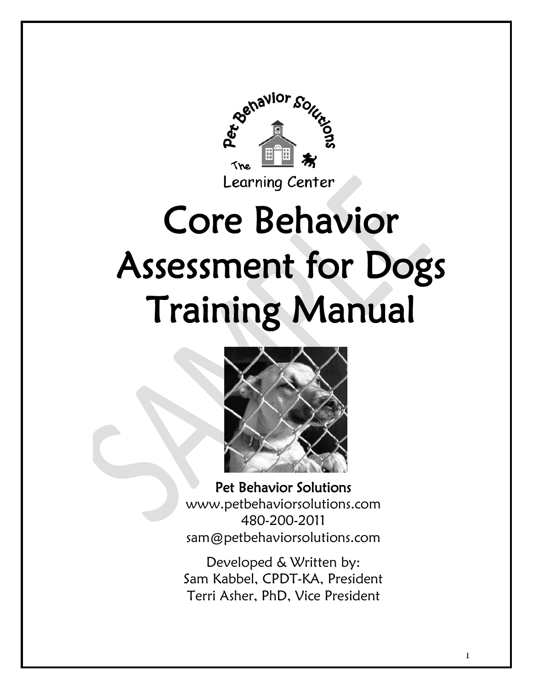

# Core Behavior Assessment for Dogs Training Manual



Pet Behavior Solutions www.petbehaviorsolutions.com 480-200-2011 sam@petbehaviorsolutions.com

Developed & Written by: Sam Kabbel, CPDT-KA, President Terri Asher, PhD, Vice President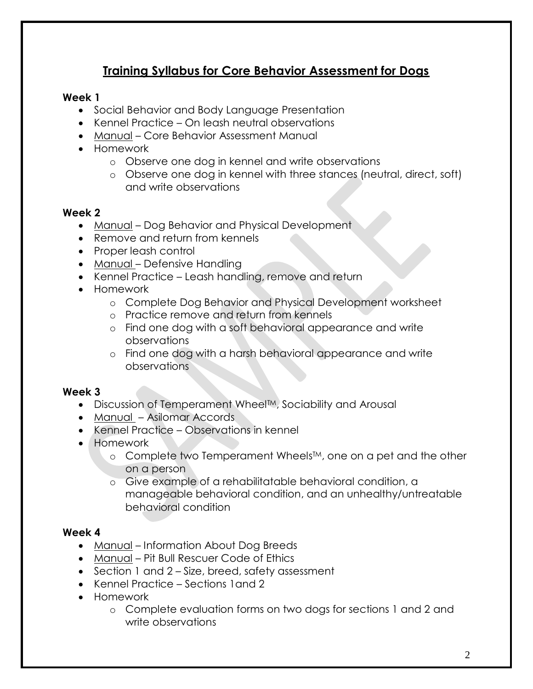# **Training Syllabus for Core Behavior Assessment for Dogs**

#### **Week 1**

- Social Behavior and Body Language Presentation
- Kennel Practice On leash neutral observations
- Manual Core Behavior Assessment Manual
- Homework
	- o Observe one dog in kennel and write observations
	- o Observe one dog in kennel with three stances (neutral, direct, soft) and write observations

#### **Week 2**

- Manual Dog Behavior and Physical Development
- Remove and return from kennels
- Proper leash control
- Manual Defensive Handling
- Kennel Practice Leash handling, remove and return
- Homework
	- o Complete Dog Behavior and Physical Development worksheet
	- o Practice remove and return from kennels
	- o Find one dog with a soft behavioral appearance and write observations
	- o Find one dog with a harsh behavioral appearance and write observations

#### **Week 3**

- Discussion of Temperament Wheel<sup>TM</sup>, Sociability and Arousal
- Manual Asilomar Accords
- Kennel Practice Observations in kennel
- Homework
	- o Complete two Temperament Wheels™, one on a pet and the other on a person
	- o Give example of a rehabilitatable behavioral condition, a manageable behavioral condition, and an unhealthy/untreatable behavioral condition

#### **Week 4**

- Manual Information About Dog Breeds
- Manual Pit Bull Rescuer Code of Ethics
- Section 1 and 2 Size, breed, safety assessment
- Kennel Practice Sections 1and 2
- **•** Homework
	- o Complete evaluation forms on two dogs for sections 1 and 2 and write observations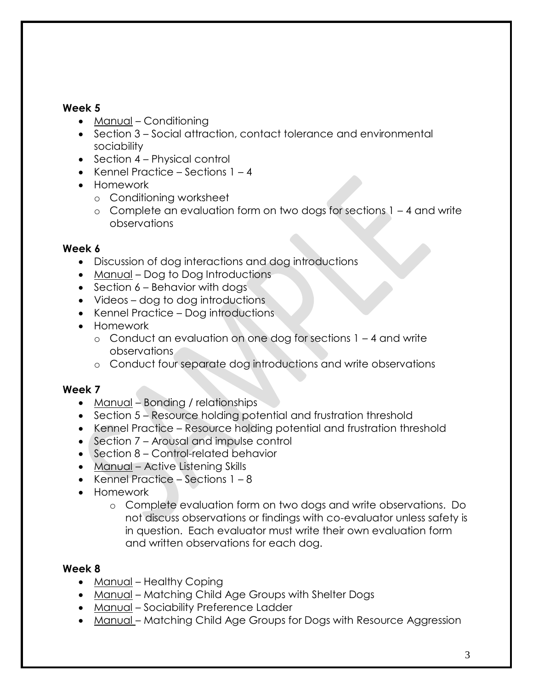#### **Week 5**

- Manual Conditioning
- Section 3 Social attraction, contact tolerance and environmental sociability
- Section 4 Physical control
- Kennel Practice Sections  $1 4$
- Homework
	- o Conditioning worksheet
	- o Complete an evaluation form on two dogs for sections 1 4 and write observations

#### **Week 6**

- Discussion of dog interactions and dog introductions
- Manual Dog to Dog Introductions
- $\bullet$  Section 6 Behavior with dogs
- Videos dog to dog introductions
- Kennel Practice Dog introductions
- Homework
	- o Conduct an evaluation on one dog for sections 1 4 and write observations
	- o Conduct four separate dog introductions and write observations

#### **Week 7**

- Manual Bonding / relationships
- Section 5 Resource holding potential and frustration threshold
- Kennel Practice Resource holding potential and frustration threshold
- Section 7 Arousal and impulse control
- Section 8 Control-related behavior
- Manual Active Listening Skills
- Kennel Practice Sections  $1 8$
- Homework
	- o Complete evaluation form on two dogs and write observations. Do not discuss observations or findings with co-evaluator unless safety is in question. Each evaluator must write their own evaluation form and written observations for each dog.

#### **Week 8**

- Manual Healthy Coping
- Manual Matching Child Age Groups with Shelter Dogs
- Manual Sociability Preference Ladder
- Manual Matching Child Age Groups for Dogs with Resource Aggression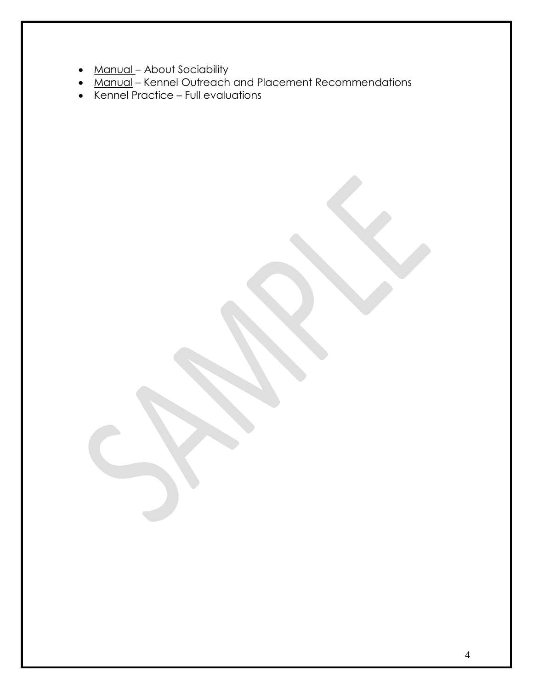- Manual About Sociability
- Manual Kennel Outreach and Placement Recommendations
- Kennel Practice Full evaluations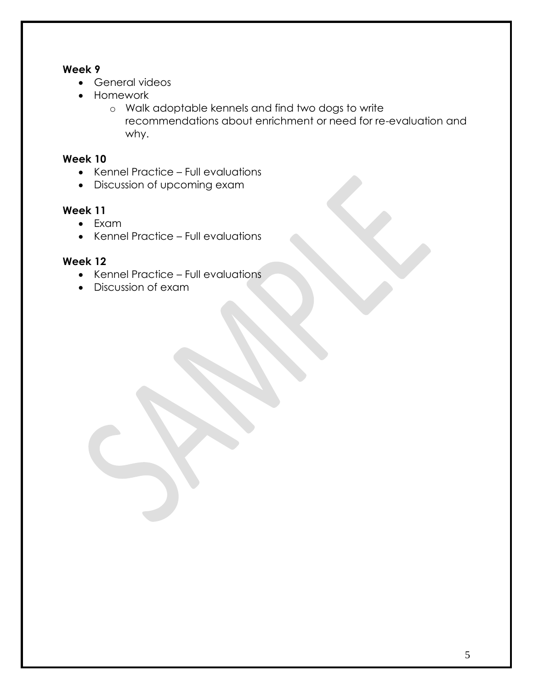#### **Week 9**

- General videos
- Homework
	- o Walk adoptable kennels and find two dogs to write recommendations about enrichment or need for re-evaluation and why.

#### **Week 10**

- Kennel Practice Full evaluations
- Discussion of upcoming exam

#### **Week 11**

- Exam
- Kennel Practice Full evaluations

#### **Week 12**

- Kennel Practice Full evaluations
- Discussion of exam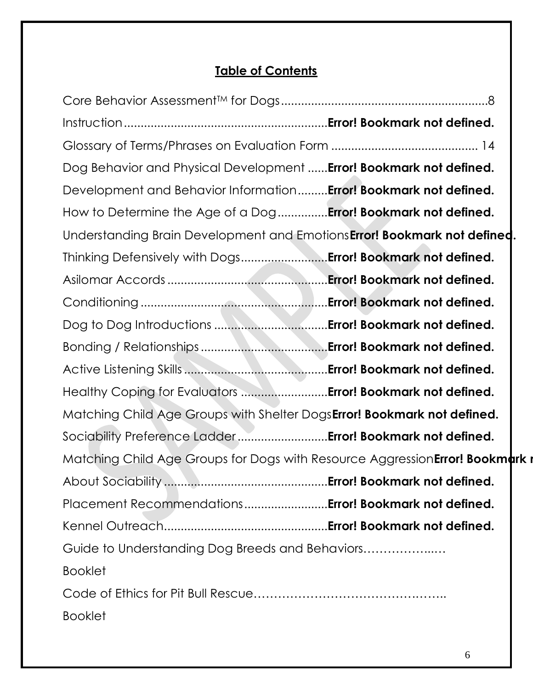# **Table of Contents**

| Dog Behavior and Physical Development  Error! Bookmark not defined.           |  |
|-------------------------------------------------------------------------------|--|
| Development and Behavior Information Error! Bookmark not defined.             |  |
| How to Determine the Age of a Dog <b>Error! Bookmark not defined.</b>         |  |
| Understanding Brain Development and Emotions Error! Bookmark not defined.     |  |
| Thinking Defensively with Dogs Error! Bookmark not defined.                   |  |
|                                                                               |  |
|                                                                               |  |
|                                                                               |  |
|                                                                               |  |
|                                                                               |  |
| Healthy Coping for Evaluators  Error! Bookmark not defined.                   |  |
| Matching Child Age Groups with Shelter DogsError! Bookmark not defined.       |  |
| Sociability Preference Ladder Error! Bookmark not defined.                    |  |
| Matching Child Age Groups for Dogs with Resource Aggression Error! Bookmark r |  |
|                                                                               |  |
| Placement Recommendations Error! Bookmark not defined.                        |  |
|                                                                               |  |
| Guide to Understanding Dog Breeds and Behaviors                               |  |
| <b>Booklet</b>                                                                |  |
|                                                                               |  |
| <b>Booklet</b>                                                                |  |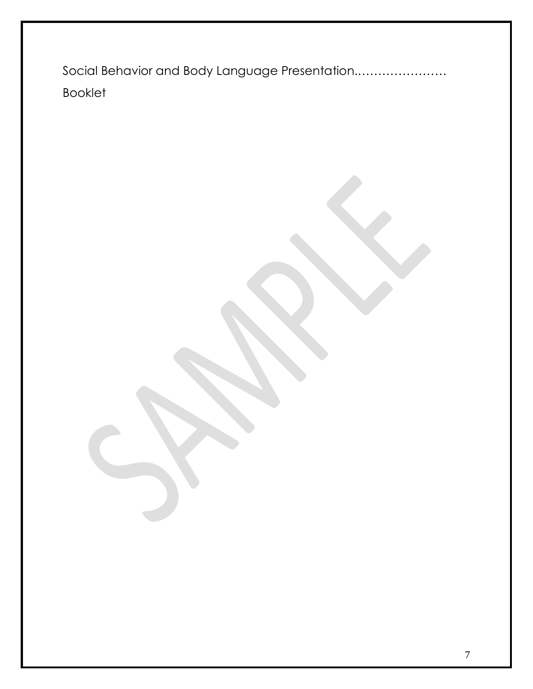Social Behavior and Body Language Presentation..………………… Booklet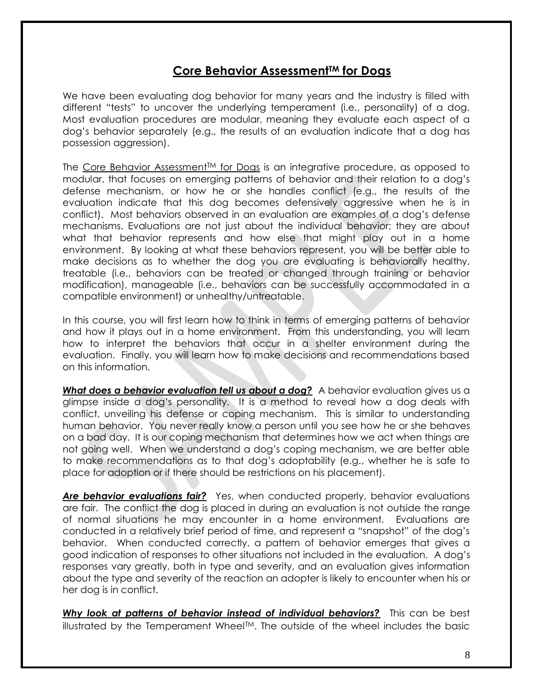### **Core Behavior AssessmentTM for Dogs**

<span id="page-7-0"></span>We have been evaluating dog behavior for many years and the industry is filled with different "tests" to uncover the underlying temperament (i.e., personality) of a dog. Most evaluation procedures are modular, meaning they evaluate each aspect of a dog's behavior separately (e.g., the results of an evaluation indicate that a dog has possession aggression).

The Core Behavior Assessment™ for Dogs is an integrative procedure, as opposed to modular, that focuses on emerging patterns of behavior and their relation to a dog's defense mechanism, or how he or she handles conflict (e.g., the results of the evaluation indicate that this dog becomes defensively aggressive when he is in conflict). Most behaviors observed in an evaluation are examples of a dog's defense mechanisms. Evaluations are not just about the individual behavior; they are about what that behavior represents and how else that might play out in a home environment. By looking at what these behaviors represent, you will be better able to make decisions as to whether the dog you are evaluating is behaviorally healthy, treatable (i.e., behaviors can be treated or changed through training or behavior modification), manageable (i.e., behaviors can be successfully accommodated in a compatible environment) or unhealthy/untreatable.

In this course, you will first learn how to think in terms of emerging patterns of behavior and how it plays out in a home environment. From this understanding, you will learn how to interpret the behaviors that occur in a shelter environment during the evaluation. Finally, you will learn how to make decisions and recommendations based on this information.

**What does a behavior evaluation tell us about a dog?** A behavior evaluation gives us a glimpse inside a dog's personality. It is a method to reveal how a dog deals with conflict, unveiling his defense or coping mechanism. This is similar to understanding human behavior. You never really know a person until you see how he or she behaves on a bad day. It is our coping mechanism that determines how we act when things are not going well. When we understand a dog's coping mechanism, we are better able to make recommendations as to that dog's adoptability (e.g., whether he is safe to place for adoption or if there should be restrictions on his placement).

*Are behavior evaluations fair?* Yes, when conducted properly, behavior evaluations are fair. The conflict the dog is placed in during an evaluation is not outside the range of normal situations he may encounter in a home environment. Evaluations are conducted in a relatively brief period of time, and represent a "snapshot" of the dog's behavior. When conducted correctly, a pattern of behavior emerges that gives a good indication of responses to other situations not included in the evaluation. A dog's responses vary greatly, both in type and severity, and an evaluation gives information about the type and severity of the reaction an adopter is likely to encounter when his or her dog is in conflict.

*Why look at patterns of behavior instead of individual behaviors?* This can be best illustrated by the Temperament Wheel™. The outside of the wheel includes the basic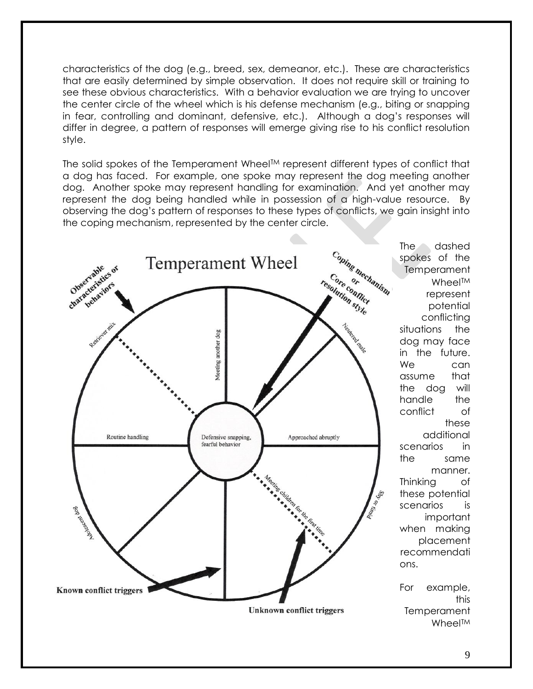characteristics of the dog (e.g., breed, sex, demeanor, etc.). These are characteristics that are easily determined by simple observation. It does not require skill or training to see these obvious characteristics. With a behavior evaluation we are trying to uncover the center circle of the wheel which is his defense mechanism (e.g., biting or snapping in fear, controlling and dominant, defensive, etc.). Although a dog's responses will differ in degree, a pattern of responses will emerge giving rise to his conflict resolution style.

The solid spokes of the Temperament Wheel™ represent different types of conflict that a dog has faced. For example, one spoke may represent the dog meeting another dog. Another spoke may represent handling for examination. And yet another may represent the dog being handled while in possession of a high-value resource. By observing the dog's pattern of responses to these types of conflicts, we gain insight into the coping mechanism, represented by the center circle.

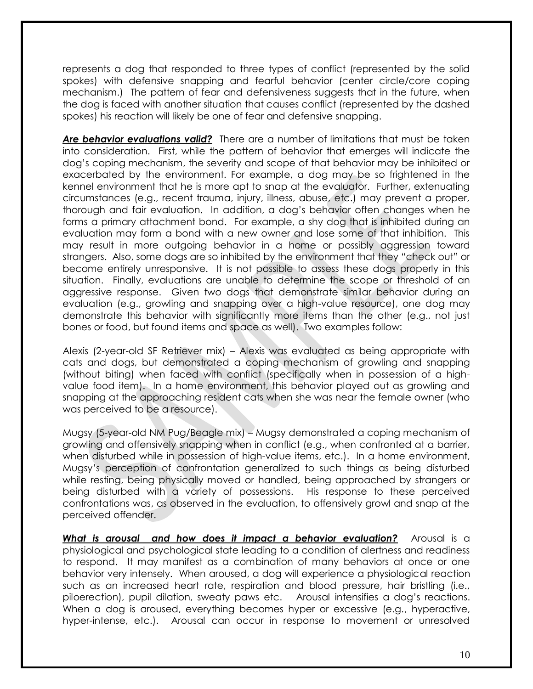represents a dog that responded to three types of conflict (represented by the solid spokes) with defensive snapping and fearful behavior (center circle/core coping mechanism.) The pattern of fear and defensiveness suggests that in the future, when the dog is faced with another situation that causes conflict (represented by the dashed spokes) his reaction will likely be one of fear and defensive snapping.

Are behavior evaluations valid? There are a number of limitations that must be taken into consideration. First, while the pattern of behavior that emerges will indicate the dog's coping mechanism, the severity and scope of that behavior may be inhibited or exacerbated by the environment. For example, a dog may be so frightened in the kennel environment that he is more apt to snap at the evaluator. Further, extenuating circumstances (e.g., recent trauma, injury, illness, abuse, etc.) may prevent a proper, thorough and fair evaluation. In addition, a dog's behavior often changes when he forms a primary attachment bond. For example, a shy dog that is inhibited during an evaluation may form a bond with a new owner and lose some of that inhibition. This may result in more outgoing behavior in a home or possibly aggression toward strangers. Also, some dogs are so inhibited by the environment that they "check out" or become entirely unresponsive. It is not possible to assess these dogs properly in this situation. Finally, evaluations are unable to determine the scope or threshold of an aggressive response. Given two dogs that demonstrate similar behavior during an evaluation (e.g., growling and snapping over a high-value resource), one dog may demonstrate this behavior with significantly more items than the other (e.g., not just bones or food, but found items and space as well). Two examples follow:

Alexis (2-year-old SF Retriever mix) – Alexis was evaluated as being appropriate with cats and dogs, but demonstrated a coping mechanism of growling and snapping (without biting) when faced with conflict (specifically when in possession of a highvalue food item). In a home environment, this behavior played out as growling and snapping at the approaching resident cats when she was near the female owner (who was perceived to be a resource).

Mugsy (5-year-old NM Pug/Beagle mix) – Mugsy demonstrated a coping mechanism of growling and offensively snapping when in conflict (e.g., when confronted at a barrier, when disturbed while in possession of high-value items, etc.). In a home environment, Mugsy's perception of confrontation generalized to such things as being disturbed while resting, being physically moved or handled, being approached by strangers or being disturbed with a variety of possessions. His response to these perceived confrontations was, as observed in the evaluation, to offensively growl and snap at the perceived offender.

*What is arousal and how does it impact a behavior evaluation?* Arousal is a physiological and psychological state leading to a condition of alertness and readiness to respond. It may manifest as a combination of many behaviors at once or one behavior very intensely. When aroused, a dog will experience a physiological reaction such as an increased heart rate, respiration and blood pressure, hair bristling (i.e., piloerection), pupil dilation, sweaty paws etc. Arousal intensifies a dog's reactions. When a dog is aroused, everything becomes hyper or excessive (e.g., hyperactive, hyper-intense, etc.). Arousal can occur in response to movement or unresolved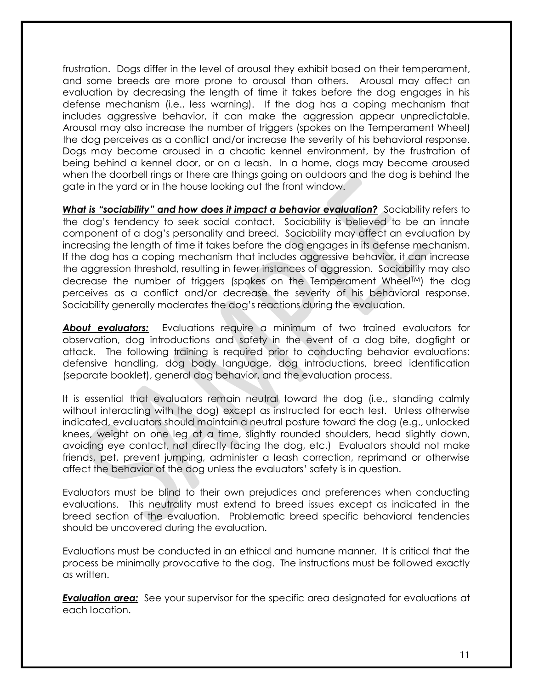frustration. Dogs differ in the level of arousal they exhibit based on their temperament, and some breeds are more prone to arousal than others. Arousal may affect an evaluation by decreasing the length of time it takes before the dog engages in his defense mechanism (i.e., less warning). If the dog has a coping mechanism that includes aggressive behavior, it can make the aggression appear unpredictable. Arousal may also increase the number of triggers (spokes on the Temperament Wheel) the dog perceives as a conflict and/or increase the severity of his behavioral response. Dogs may become aroused in a chaotic kennel environment, by the frustration of being behind a kennel door, or on a leash. In a home, dogs may become aroused when the doorbell rings or there are things going on outdoors and the dog is behind the gate in the yard or in the house looking out the front window.

*What is "sociability" and how does it impact a behavior evaluation?* Sociability refers to the dog's tendency to seek social contact. Sociability is believed to be an innate component of a dog's personality and breed. Sociability may affect an evaluation by increasing the length of time it takes before the dog engages in its defense mechanism. If the dog has a coping mechanism that includes aggressive behavior, it can increase the aggression threshold, resulting in fewer instances of aggression. Sociability may also decrease the number of triggers (spokes on the Temperament WheelTM) the dog perceives as a conflict and/or decrease the severity of his behavioral response. Sociability generally moderates the dog's reactions during the evaluation.

*About evaluators:* Evaluations require a minimum of two trained evaluators for observation, dog introductions and safety in the event of a dog bite, dogfight or attack. The following training is required prior to conducting behavior evaluations: defensive handling, dog body language, dog introductions, breed identification (separate booklet), general dog behavior, and the evaluation process.

It is essential that evaluators remain neutral toward the dog (i.e., standing calmly without interacting with the dog) except as instructed for each test. Unless otherwise indicated, evaluators should maintain a neutral posture toward the dog (e.g., unlocked knees, weight on one leg at a time, slightly rounded shoulders, head slightly down, avoiding eye contact, not directly facing the dog, etc.) Evaluators should not make friends, pet, prevent jumping, administer a leash correction, reprimand or otherwise affect the behavior of the dog unless the evaluators' safety is in question.

Evaluators must be blind to their own prejudices and preferences when conducting evaluations. This neutrality must extend to breed issues except as indicated in the breed section of the evaluation. Problematic breed specific behavioral tendencies should be uncovered during the evaluation.

Evaluations must be conducted in an ethical and humane manner. It is critical that the process be minimally provocative to the dog. The instructions must be followed exactly as written.

**Evaluation area:** See your supervisor for the specific area designated for evaluations at each location.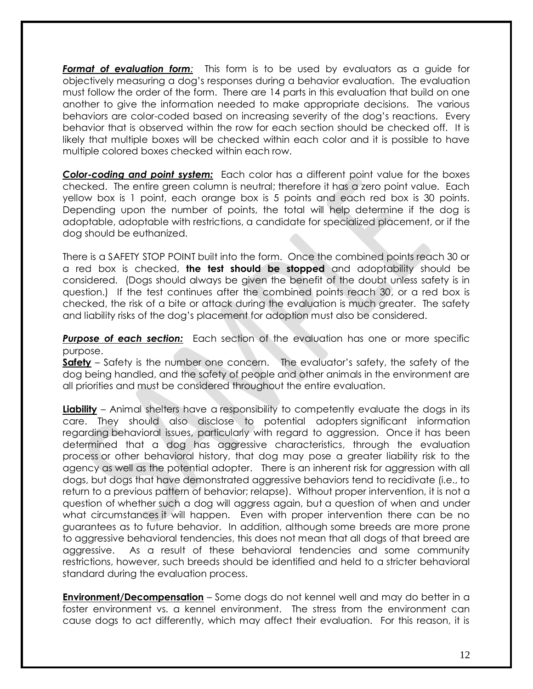*Format of evaluation form:* This form is to be used by evaluators as a guide for objectively measuring a dog's responses during a behavior evaluation. The evaluation must follow the order of the form. There are 14 parts in this evaluation that build on one another to give the information needed to make appropriate decisions. The various behaviors are color-coded based on increasing severity of the dog's reactions. Every behavior that is observed within the row for each section should be checked off. It is likely that multiple boxes will be checked within each color and it is possible to have multiple colored boxes checked within each row.

*Color-coding and point system:*Each color has a different point value for the boxes checked. The entire green column is neutral; therefore it has a zero point value. Each yellow box is 1 point, each orange box is 5 points and each red box is 30 points. Depending upon the number of points, the total will help determine if the dog is adoptable, adoptable with restrictions, a candidate for specialized placement, or if the dog should be euthanized.

There is a SAFETY STOP POINT built into the form. Once the combined points reach 30 or a red box is checked, **the test should be stopped** and adoptability should be considered. (Dogs should always be given the benefit of the doubt unless safety is in question.) If the test continues after the combined points reach 30, or a red box is checked, the risk of a bite or attack during the evaluation is much greater. The safety and liability risks of the dog's placement for adoption must also be considered.

**Purpose of each section:** Each section of the evaluation has one or more specific purpose.

**Safety** – Safety is the number one concern. The evaluator's safety, the safety of the dog being handled, and the safety of people and other animals in the environment are all priorities and must be considered throughout the entire evaluation.

**Liability** – Animal shelters have a responsibility to competently evaluate the dogs in its care. They should also disclose to potential adopters significant information regarding behavioral issues, particularly with regard to aggression. Once it has been determined that a dog has aggressive characteristics, through the evaluation process or other behavioral history, that dog may pose a greater liability risk to the agency as well as the potential adopter. There is an inherent risk for aggression with all dogs, but dogs that have demonstrated aggressive behaviors tend to recidivate (i.e., to return to a previous pattern of behavior; relapse). Without proper intervention, it is not a question of whether such a dog will aggress again, but a question of when and under what circumstances it will happen. Even with proper intervention there can be no guarantees as to future behavior. In addition, although some breeds are more prone to aggressive behavioral tendencies, this does not mean that all dogs of that breed are aggressive. As a result of these behavioral tendencies and some community restrictions, however, such breeds should be identified and held to a stricter behavioral standard during the evaluation process.

**Environment/Decompensation** – Some dogs do not kennel well and may do better in a foster environment vs. a kennel environment. The stress from the environment can cause dogs to act differently, which may affect their evaluation. For this reason, it is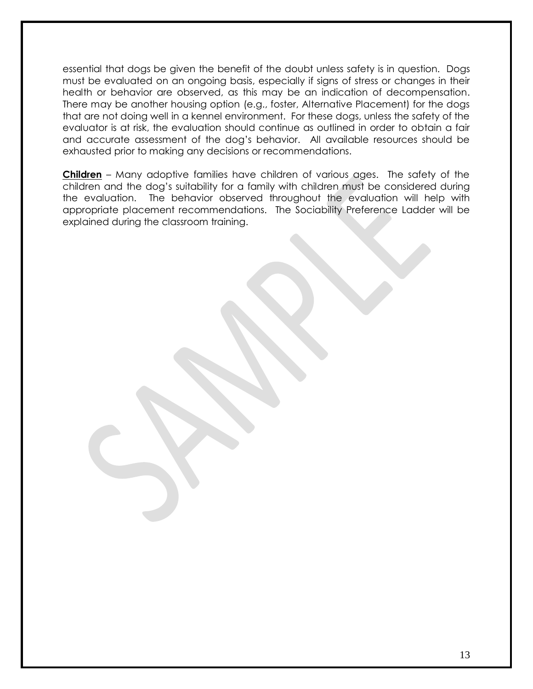essential that dogs be given the benefit of the doubt unless safety is in question. Dogs must be evaluated on an ongoing basis, especially if signs of stress or changes in their health or behavior are observed, as this may be an indication of decompensation. There may be another housing option (e.g., foster, Alternative Placement) for the dogs that are not doing well in a kennel environment. For these dogs, unless the safety of the evaluator is at risk, the evaluation should continue as outlined in order to obtain a fair and accurate assessment of the dog's behavior. All available resources should be exhausted prior to making any decisions or recommendations.

<span id="page-12-0"></span>**Children** – Many adoptive families have children of various ages. The safety of the children and the dog's suitability for a family with children must be considered during the evaluation. The behavior observed throughout the evaluation will help with appropriate placement recommendations. The Sociability Preference Ladder will be explained during the classroom training.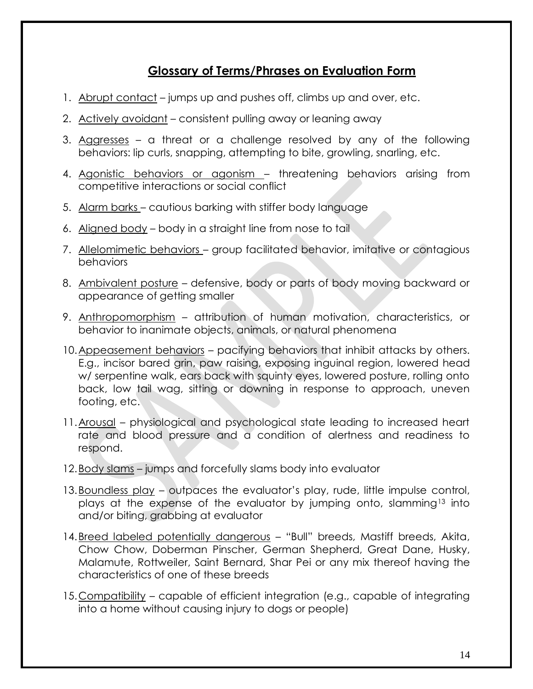## **Glossary of Terms/Phrases on Evaluation Form**

- 1. Abrupt contact jumps up and pushes off, climbs up and over, etc.
- 2. Actively avoidant consistent pulling away or leaning away
- 3. Aggresses a threat or a challenge resolved by any of the following behaviors: lip curls, snapping, attempting to bite, growling, snarling, etc.
- 4. Agonistic behaviors or agonism threatening behaviors arising from competitive interactions or social conflict
- 5. Alarm barks cautious barking with stiffer body language
- 6. Aligned body body in a straight line from nose to tail
- 7. Allelomimetic behaviors group facilitated behavior, imitative or contagious behaviors
- 8. Ambivalent posture defensive, body or parts of body moving backward or appearance of getting smaller
- 9. Anthropomorphism attribution of human motivation, characteristics, or behavior to inanimate objects, animals, or natural phenomena
- 10.Appeasement behaviors pacifying behaviors that inhibit attacks by others. E.g., incisor bared grin, paw raising, exposing inguinal region, lowered head w/ serpentine walk, ears back with squinty eyes, lowered posture, rolling onto back, low tail wag, sitting or downing in response to approach, uneven footing, etc.
- 11.Arousal physiological and psychological state leading to increased heart rate and blood pressure and a condition of alertness and readiness to respond.
- 12.Body slams jumps and forcefully slams body into evaluator
- 13. Boundless play outpaces the evaluator's play, rude, little impulse control, plays at the expense of the evaluator by jumping onto, slamming<sup>13</sup> into and/or biting, grabbing at evaluator
- 14.Breed labeled potentially dangerous "Bull" breeds, Mastiff breeds, Akita, Chow Chow, Doberman Pinscher, German Shepherd, Great Dane, Husky, Malamute, Rottweiler, Saint Bernard, Shar Pei or any mix thereof having the characteristics of one of these breeds
- 15.Compatibility capable of efficient integration (e.g., capable of integrating into a home without causing injury to dogs or people)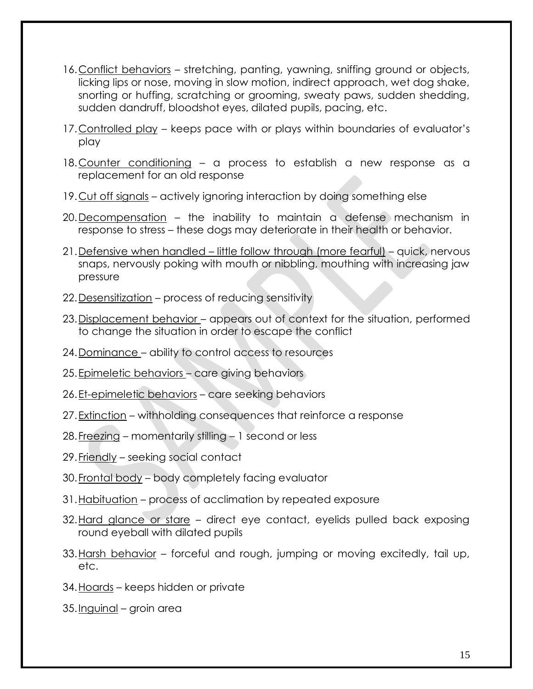- 16.Conflict behaviors stretching, panting, yawning, sniffing ground or objects, licking lips or nose, moving in slow motion, indirect approach, wet dog shake, snorting or huffing, scratching or grooming, sweaty paws, sudden shedding, sudden dandruff, bloodshot eyes, dilated pupils, pacing, etc.
- 17.Controlled play keeps pace with or plays within boundaries of evaluator's play
- 18.Counter conditioning a process to establish a new response as a replacement for an old response
- 19.Cut off signals actively ignoring interaction by doing something else
- 20.Decompensation the inability to maintain a defense mechanism in response to stress – these dogs may deteriorate in their health or behavior.
- 21.Defensive when handled little follow through (more fearful) quick, nervous snaps, nervously poking with mouth or nibbling, mouthing with increasing jaw pressure
- 22.Desensitization process of reducing sensitivity
- 23.Displacement behavior appears out of context for the situation, performed to change the situation in order to escape the conflict
- 24.Dominance ability to control access to resources
- 25.Epimeletic behaviors care giving behaviors
- 26.Et-epimeletic behaviors care seeking behaviors
- 27. Extinction withholding consequences that reinforce a response
- 28.Freezing momentarily stilling 1 second or less
- 29.Friendly seeking social contact
- 30.Frontal body body completely facing evaluator
- 31.Habituation process of acclimation by repeated exposure
- 32.Hard glance or stare direct eye contact, eyelids pulled back exposing round eyeball with dilated pupils
- 33.Harsh behavior forceful and rough, jumping or moving excitedly, tail up, etc.
- 34.Hoards keeps hidden or private
- 35.Inguinal groin area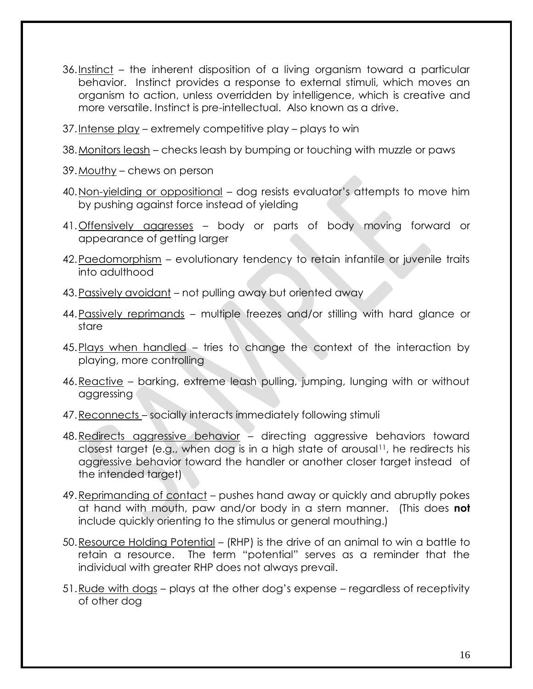- 36.Instinct the inherent disposition of a living organism toward a particular behavior. Instinct provides a response to external stimuli, which moves an organism to action, unless overridden by intelligence, which is creative and more versatile. Instinct is pre-intellectual. Also known as a drive.
- 37.Intense play extremely competitive play plays to win
- 38.Monitors leash checks leash by bumping or touching with muzzle or paws
- 39.Mouthy chews on person
- 40.Non-yielding or oppositional dog resists evaluator's attempts to move him by pushing against force instead of yielding
- 41.Offensively aggresses body or parts of body moving forward or appearance of getting larger
- 42.Paedomorphism evolutionary tendency to retain infantile or juvenile traits into adulthood
- 43.Passively avoidant not pulling away but oriented away
- 44.Passively reprimands multiple freezes and/or stilling with hard glance or stare
- 45.Plays when handled tries to change the context of the interaction by playing, more controlling
- 46.Reactive barking, extreme leash pulling, jumping, lunging with or without aggressing
- 47.Reconnects socially interacts immediately following stimuli
- 48.Redirects aggressive behavior directing aggressive behaviors toward closest target (e.g., when dog is in a high state of arousal11, he redirects his aggressive behavior toward the handler or another closer target instead of the intended target)
- 49.Reprimanding of contact pushes hand away or quickly and abruptly pokes at hand with mouth, paw and/or body in a stern manner. (This does **not** include quickly orienting to the stimulus or general mouthing.)
- 50.Resource Holding Potential (RHP) is the drive of an animal to win a battle to retain a resource. The term "potential" serves as a reminder that the individual with greater RHP does not always prevail.
- 51.Rude with dogs plays at the other dog's expense regardless of receptivity of other dog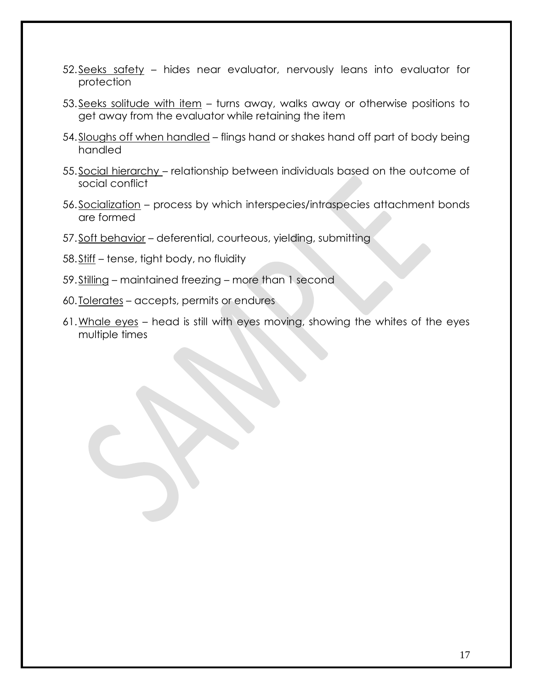- 52.Seeks safety hides near evaluator, nervously leans into evaluator for protection
- 53.Seeks solitude with item turns away, walks away or otherwise positions to get away from the evaluator while retaining the item
- 54.Sloughs off when handled flings hand or shakes hand off part of body being handled
- 55.Social hierarchy relationship between individuals based on the outcome of social conflict
- 56.Socialization process by which interspecies/intraspecies attachment bonds are formed
- 57.Soft behavior deferential, courteous, yielding, submitting
- 58.Stiff tense, tight body, no fluidity
- 59.Stilling maintained freezing more than 1 second
- 60.Tolerates accepts, permits or endures
- 61.Whale eyes head is still with eyes moving, showing the whites of the eyes multiple times